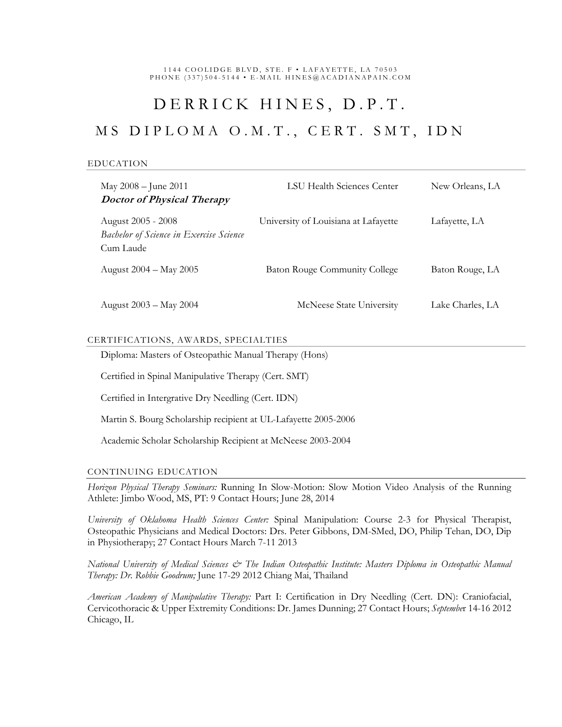1144 COOLIDGE BLVD, STE. F · LAFAYETTE, LA 70503 PHONE (337)504-5144 • E-MAIL HINES@ACADIANAPAIN.COM

# DERRICK HINES, D.P.T.

## MS DIPLOMA O.M.T., CERT. SMT, IDN

#### EDUCATION

| May 2008 - June 2011<br><b>Doctor of Physical Therapy</b>                         | LSU Health Sciences Center           | New Orleans, LA  |
|-----------------------------------------------------------------------------------|--------------------------------------|------------------|
| August 2005 - 2008<br><b>Bachelor of Science in Exercise Science</b><br>Cum Laude | University of Louisiana at Lafayette | Lafayette, LA    |
| August 2004 – May 2005                                                            | <b>Baton Rouge Community College</b> | Baton Rouge, LA  |
| August 2003 – May 2004                                                            | McNeese State University             | Lake Charles, LA |

#### CERTIFICATIONS, AWARDS, SPECIALTIES

Diploma: Masters of Osteopathic Manual Therapy (Hons)

Certified in Spinal Manipulative Therapy (Cert. SMT)

Certified in Intergrative Dry Needling (Cert. IDN)

Martin S. Bourg Scholarship recipient at UL-Lafayette 2005-2006

Academic Scholar Scholarship Recipient at McNeese 2003-2004

#### CONTINUING EDUCATION

*Horizon Physical Therapy Seminars:* Running In Slow-Motion: Slow Motion Video Analysis of the Running Athlete: Jimbo Wood, MS, PT: 9 Contact Hours; June 28, 2014

*University of Oklahoma Health Sciences Center:* Spinal Manipulation: Course 2-3 for Physical Therapist, Osteopathic Physicians and Medical Doctors: Drs. Peter Gibbons, DM-SMed, DO, Philip Tehan, DO, Dip in Physiotherapy; 27 Contact Hours March 7-11 2013

*National University of Medical Sciences & The Indian Osteopathic Institute: Masters Diploma in Osteopathic Manual Therapy: Dr. Robbie Goodrum;* June 17-29 2012 Chiang Mai, Thailand

*American Academy of Manipulative Therapy:* Part I: Certification in Dry Needling (Cert. DN): Craniofacial, Cervicothoracic & Upper Extremity Conditions: Dr. James Dunning; 27 Contact Hours; *Septembe*r 14-16 2012 Chicago, IL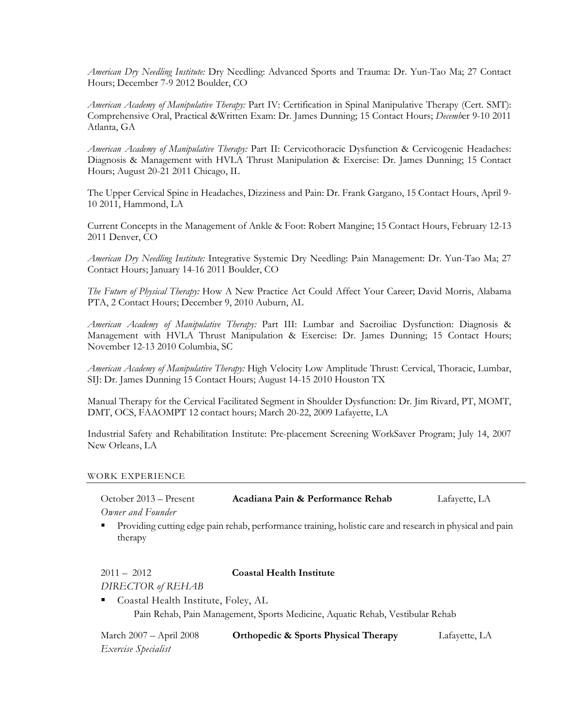*American Dry Needling Institute:* Dry Needling: Advanced Sports and Trauma: Dr. Yun-Tao Ma; 27 Contact Hours; December 7-9 2012 Boulder, CO

*American Academy of Manipulative Therapy:* Part IV: Certification in Spinal Manipulative Therapy (Cert. SMT): Comprehensive Oral, Practical &Written Exam: Dr. James Dunning; 15 Contact Hours; *Decemb*er 9-10 2011 Atlanta, GA

*American Academy of Manipulative Therapy:* Part II: Cervicothoracic Dysfunction & Cervicogenic Headaches: Diagnosis & Management with HVLA Thrust Manipulation & Exercise: Dr. James Dunning; 15 Contact Hours; August 20-21 2011 Chicago, IL

The Upper Cervical Spine in Headaches, Dizziness and Pain: Dr. Frank Gargano, 15 Contact Hours, April 9- 10 2011, Hammond, LA

Current Concepts in the Management of Ankle & Foot: Robert Mangine; 15 Contact Hours, February 12-13 2011 Denver, CO

*American Dry Needling Institute:* Integrative Systemic Dry Needling: Pain Management: Dr. Yun-Tao Ma; 27 Contact Hours; January 14-16 2011 Boulder, CO

*The Future of Physical Therapy:* How A New Practice Act Could Affect Your Career; David Morris, Alabama PTA, 2 Contact Hours; December 9, 2010 Auburn, AL

*American Academy of Manipulative Therapy:* Part III: Lumbar and Sacroiliac Dysfunction: Diagnosis & Management with HVLA Thrust Manipulation & Exercise: Dr. James Dunning; 15 Contact Hours; November 12-13 2010 Columbia, SC

*American Academy of Manipulative Therapy:* High Velocity Low Amplitude Thrust: Cervical, Thoracic, Lumbar, SIJ: Dr. James Dunning 15 Contact Hours; August 14-15 2010 Houston TX

Manual Therapy for the Cervical Facilitated Segment in Shoulder Dysfunction: Dr. Jim Rivard, PT, MOMT, DMT, OCS, FAAOMPT 12 contact hours; March 20-22, 2009 Lafayette, LA

Industrial Safety and Rehabilitation Institute: Pre-placement Screening WorkSaver Program; July 14, 2007 New Orleans, LA

#### WORK EXPERIENCE

| October 2013 – Present | Acadiana Pain & Performance Rehab | Lafayette, LA |
|------------------------|-----------------------------------|---------------|
| Owner and Founder      |                                   |               |

 Providing cutting edge pain rehab, performance training, holistic care and research in physical and pain therapy

### 2011 – 2012 **Coastal Health Institute** *DIRECTOR of REHAB*

 Coastal Health Institute, Foley, AL Pain Rehab, Pain Management, Sports Medicine, Aquatic Rehab, Vestibular Rehab

| March 2007 – April 2008 | <b>Orthopedic &amp; Sports Physical Therapy</b> | Lafayette, LA |
|-------------------------|-------------------------------------------------|---------------|
| Exercise Specialist     |                                                 |               |